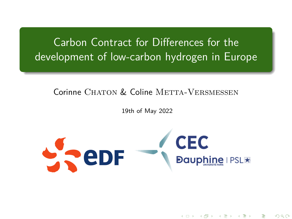<span id="page-0-0"></span>Carbon Contract for Differences for the development of low-carbon hydrogen in Europe

Corinne CHATON & Coline METTA-VERSMESSEN

19th of May 2022



④ 미 게 제 제 제 제 제 제 제 제 제 제 제 제 제 제 제

 $290$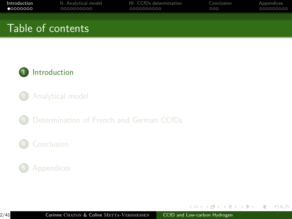<span id="page-1-0"></span>

| Introduction      | II- Analytical model | III- CCfDs determination | Conclusion | Appendices |
|-------------------|----------------------|--------------------------|------------|------------|
| $\bullet$ 0000000 | 0000000000           | 0000000000               | 000        | 000000000  |
| Table of contents |                      |                          |            |            |



- 2 [Analytical model](#page-9-0)
- 3 [Determination of French and German CCfDs](#page-19-0)

### **[Conclusion](#page-29-0)**



 $\mathcal{A} \ \overline{\mathcal{B}} \ \rightarrow \ \mathcal{A} \ \overline{\mathcal{B}} \ \rightarrow$ 

4 17 18

 $\overline{AB}$ 

 $2990$ 

э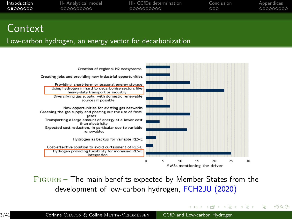| Introduction | II- Analytical model | III- CCfDs determination | Conclusion | Appendices |
|--------------|----------------------|--------------------------|------------|------------|
| െറെററററ      | 0000000000           | 0000000000               | 000        | -000000000 |
|              |                      |                          |            |            |

### Context

#### Low-carbon hydrogen, an energy vector for decarbonization



 $FIGURE - The main benefits expected by Member States from the$ development of low-carbon hydrogen, FCH2JU (2020)

イロメ イ何 メイヨメ イヨメ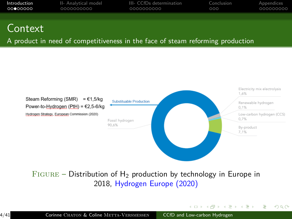| Introduction | II- Analytical model | III- CCfDs determination | Conclusion | Appendices |
|--------------|----------------------|--------------------------|------------|------------|
|              | 0000000000           | 0000000000               | 000        | 000000000  |
|              |                      |                          |            |            |

### Context

A product in need of competitiveness in the face of steam reforming production



 $FIGURE - Distribution of H<sub>2</sub> production by technology in Europe in$ 2018, Hydrogen Europe (2020)

イロメ イ母メ イヨメ イヨメ

 $\Omega$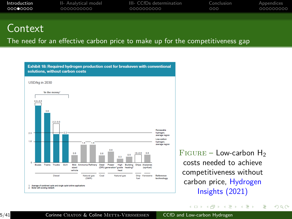| Introduction | II- Analytical model | III- CCfDs determination | Conclusion | Appendices |
|--------------|----------------------|--------------------------|------------|------------|
| റററ⊜റററ      | 0000000000           | 0000000000               | 000        | 000000000  |
|              |                      |                          |            |            |

### **Context**

The need for an effective carbon price to make up for the competitiveness gap



 $FIGURE - Low-carbon H<sub>2</sub>$ costs needed to achieve competitiveness without carbon price, Hydrogen Insights (2021)

イロメ イ母メ イヨメ イヨメ

 $\Omega$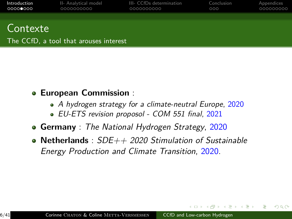| Introduction | II- Analytical model | III- CCfDs determination | Conclusion | Appendices |
|--------------|----------------------|--------------------------|------------|------------|
| 00000000     | 0000000000           | 0000000000               | 000        | 000000000  |
| Contexte     |                      |                          |            |            |

#### The CCfD, a tool that arouses interest

- **European Commission** :
	- A hydrogen strategy for a climate-neutral Europe, 2020
	- EU-ETS revision proposol COM 551 final, 2021
- **Germany** : The National Hydrogen Strategy, 2020
- **Netherlands** : SDE++ 2020 Stimulation of Sustainable Energy Production and Climate Transition, 2020.

 $299$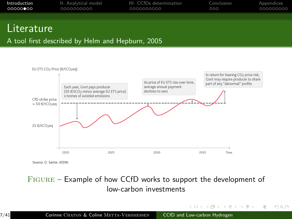| Introduction | II- Analytical model | III- CCfDs determination | Conclusion | Appendices |
|--------------|----------------------|--------------------------|------------|------------|
| 00000000     | 0000000000           | 0000000000               | റററ        | 000000000  |
|              |                      |                          |            |            |

### **Literature**

#### A tool first described by Helm and Hepburn, 2005



Source: O. Sartor, IDDRI.

#### Figure – Example of how CCfD works to support the development of low-carbon investments

イロト イ押 トイヨ トイヨト

 $QQ$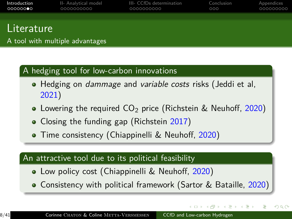| Introduction<br>○○○○○○●○ | II- Analytical model<br>0000000000 | III- CCfDs determination<br>0000000000 | Conclusion<br>000 | Appendices<br>000000000 |
|--------------------------|------------------------------------|----------------------------------------|-------------------|-------------------------|
|                          |                                    |                                        |                   |                         |
| .                        |                                    |                                        |                   |                         |

### Literature

A tool with multiple advantages

### A hedging tool for low-carbon innovations

- Hedging on dammage and variable costs risks (Jeddi et al, 2021)
- Lowering the required  $CO<sub>2</sub>$  price (Richstein & Neuhoff, 2020)
- Closing the funding gap (Richstein 2017)
- **•** Time consistency (Chiappinelli & Neuhoff, 2020)

### An attractive tool due to its political feasibility

- **•** Low policy cost (Chiappinelli & Neuhoff, 2020)
- Consistency with political framework (Sartor & Bataille, 2020)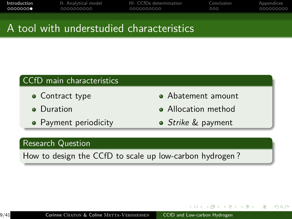| Introduction   | II- Analytical model | III- CCfDs determination | Conclusion | Appendices |
|----------------|----------------------|--------------------------|------------|------------|
| െറെററ <b>െ</b> | 0000000000           | 0000000000               | റററ        | .000000000 |
|                |                      |                          |            |            |

# A tool with understudied characteristics

### CCfD main characteristics

- Contract type
- **o** Duration
- Payment periodicity
- Abatement amount
- **Allocation method**
- *Strike &* payment

 $\Omega$ 

#### Research Question

How to design the CCfD to scale up low-carbon hydrogen ?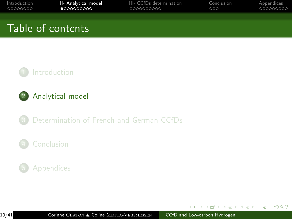<span id="page-9-0"></span>

| Introduction | II- Analytical model | III- CCfDs determination | Conclusion | Appendices |
|--------------|----------------------|--------------------------|------------|------------|
| 00000000     | $\bullet$ 000000000  | 0000000000               | 000        | 000000000  |
|              | Table of contents    |                          |            |            |





3 [Determination of French and German CCfDs](#page-19-0)

### **[Conclusion](#page-29-0)**

### **[Appendices](#page-32-0)**

 $\leftarrow$   $\Box$   $\rightarrow$ 

 $\mathcal{A} \oplus \mathcal{B}$  ) and  $\mathcal{B} \oplus \mathcal{B}$  and  $\mathcal{B} \oplus \mathcal{B}$ 

 $2990$ 

э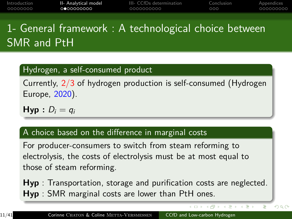| Introduction | II- Analytical model | III- CCfDs determination | Conclusion | Appendices |
|--------------|----------------------|--------------------------|------------|------------|
| - 00000000   | LOODOOOOOO           | 0000000000               | റററ        | 000000000  |
|              |                      |                          |            |            |

# 1- General framework : A technological choice between SMR and PtH

### Hydrogen, a self-consumed product

Currently, 2/3 of hydrogen production is self-consumed (Hydrogen Europe, 2020).

**Hyp** :  $D_i = q_i$ 

#### A choice based on the difference in marginal costs

For producer-consumers to switch from steam reforming to electrolysis, the costs of electrolysis must be at most equal to those of steam reforming.

**Hyp** : Transportation, storage and purification costs are neglected. **Hyp** : SMR marginal costs are lower than PtH ones.

 $\mathcal{A} = \{ \mathcal{A} \mid \mathcal{A} \in \mathcal{A} \text{ and } \mathcal{A} \in \mathcal{A} \}$ 

 $QQ$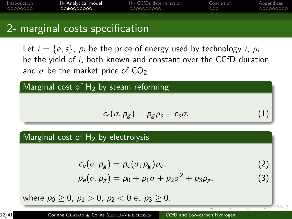| Introduction | II- Analytical model | III- CCfDs determination | Conclusion | Appendices |
|--------------|----------------------|--------------------------|------------|------------|
| _00000000    | 0000000000           | 0000000000               | 000        | .000000000 |
|              |                      |                          |            |            |

## 2- marginal costs specification

Let  $i = \{e, s\}$ ,  $p_i$  be the price of energy used by technology *i*,  $\rho_i$ be the yield of i, both known and constant over the CCfD duration and  $\sigma$  be the market price of CO<sub>2</sub>.

Marginal cost of  $H_2$  by steam reforming

$$
c_s(\sigma, \rho_g) = \rho_g \rho_s + e_s \sigma. \tag{1}
$$

#### Marginal cost of  $H_2$  by electrolysis

$$
c_e(\sigma, p_g) = p_e(\sigma, p_g) \rho_e, \qquad (2)
$$

$$
p_e(\sigma, p_g) = p_0 + p_1 \sigma + p_2 \sigma^2 + p_3 p_g, \qquad (3)
$$

where  $p_0 > 0$ ,  $p_1 > 0$ ,  $p_2 < 0$  et  $p_3 > 0$ .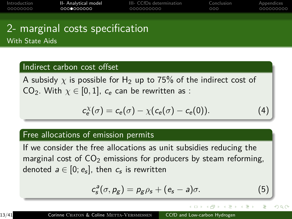| Introduction | II- Analytical model | III- CCfDs determination | Conclusion | Appendices |
|--------------|----------------------|--------------------------|------------|------------|
| _00000000    | 0000000000           | 0000000000               | റററ        | 000000000  |

# 2- marginal costs specification With State Aids

#### Indirect carbon cost offset

A subsidy  $\chi$  is possible for H<sub>2</sub> up to 75% of the indirect cost of CO<sub>2</sub>. With  $\chi \in [0,1]$ ,  $c_e$  can be rewritten as :

$$
c_e^{\chi}(\sigma) = c_e(\sigma) - \chi(c_e(\sigma) - c_e(0)). \tag{4}
$$

#### Free allocations of emission permits

If we consider the free allocations as unit subsidies reducing the marginal cost of  $CO<sub>2</sub>$  emissions for producers by steam reforming, denoted  $\emph{a} \in [0;e_{\emph{s}}]$ , then  $\emph{c}_{\emph{s}}$  is rewritten

$$
c_s^a(\sigma, p_g) = p_g \rho_s + (e_s - a)\sigma.
$$
 (5)

 $\rightarrow$   $\overline{m}$   $\rightarrow$   $\rightarrow$   $\overline{m}$   $\rightarrow$ 

 $QQ$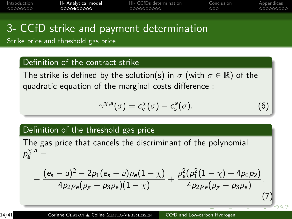<span id="page-13-0"></span>

| Introduction | II- Analytical model | III- CCfDs determination | Conclusion | Appendices |
|--------------|----------------------|--------------------------|------------|------------|
| . 00000000   | 0000●00000           | 0000000000               | റററ        | 000000000  |
|              |                      |                          |            |            |

# 3- CCfD strike and payment determination

Strike price and threshold gas price

#### Definition of the contract strike

The strike is defined by the solution(s) in  $\sigma$  (with  $\sigma \in \mathbb{R}$ ) of the quadratic equation of the marginal costs difference :

<span id="page-13-1"></span>
$$
\gamma^{\chi,\mathsf{a}}(\sigma) = c_{\mathsf{e}}^{\chi}(\sigma) - c_{\mathsf{s}}^{\mathsf{a}}(\sigma). \tag{6}
$$

#### Definition of the threshold gas price

The gas price that cancels the discriminant of the polynomial  $\bar{p}^{\chi,a}_{\mathrm{g}} =$ 

$$
-\frac{(e_s-a)^2-2p_1(e_s-a)\rho_e(1-\chi)}{4p_2\rho_e(\rho_g-p_3\rho_e)(1-\chi)}+\frac{\rho_e^2(p_1^2(1-\chi)-4p_0p_2)}{4p_2\rho_e(\rho_g-p_3\rho_e)}.
$$
\n(7)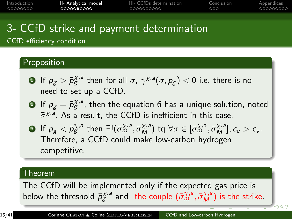<span id="page-14-0"></span>

| Introduction | II- Analytical model | III- CCfDs determination | Conclusion | Appendices |
|--------------|----------------------|--------------------------|------------|------------|
| _00000000    | 00000 <b>0</b> 0000  | 0000000000               | റററ        | 000000000  |
|              |                      |                          |            |            |

# 3- CCfD strike and payment determination

CCfD efficiency condition

### Proposition

- $\bullet$  If  $\rho_g > \bar p_g^{\chi,a}$  then for all  $\sigma, \, \gamma^{\chi,a}(\sigma, \rho_g) < 0$  i.e. there is no need to set up a CCfD.
- $\mathbf{P}$  If  $p_{\mathcal{g}}=\bar{p}^{\chi,a}_{\mathcal{g}}$ , then the equation  $6$  has a unique solution, noted  $\bar{\sigma}^{\chi,a}$ . As a result, the CCfD is inefficient in this case.
- **3** If  $p_g < \bar{p}_g^{\chi,a}$  then  $\exists! (\bar{\sigma}_m^{\chi,a}, \bar{\sigma}_M^{\chi,a})$  tq  $\forall \sigma \in [\bar{\sigma}_m^{\chi,a}, \bar{\sigma}_M^{\chi,a}], c_e > c_v$ . Therefore, a CCfD could make low-carbon hydrogen competitive.

#### Theorem

The CCfD will be implemented only if the expected gas price is below the threshold  $\bar{p}_{g}^{\chi,a}$  and the couple  $(\bar{\sigma}_{m}^{\chi,a},\bar{\sigma}_{M}^{\chi,a})$  $(\bar{\sigma}_{m}^{\chi,a},\bar{\sigma}_{M}^{\chi,a})$  $(\bar{\sigma}_{m}^{\chi,a},\bar{\sigma}_{M}^{\chi,a})$  is the strike.

 $299$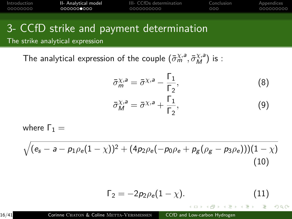<span id="page-15-0"></span>

| Introduction | II- Analytical model | III- CCfDs determination | Conclusion | Appendices |
|--------------|----------------------|--------------------------|------------|------------|
| - 00000000   | .000000 <b>0</b> 000 | 0000000000               | റററ        | 000000000  |
|              |                      |                          |            |            |

# 3- CCfD strike and payment determination

The strike analytical expression

The analytical expression of the couple  $(\bar{\sigma}_{m}^{\chi,a},\bar{\sigma}_{M}^{\chi,a})$  is :

$$
\bar{\sigma}_{m}^{\chi,a} = \bar{\sigma}^{\chi,a} - \frac{\Gamma_{1}}{\Gamma_{2}},
$$
\n
$$
\bar{\sigma}_{M}^{\chi,a} = \bar{\sigma}^{\chi,a} + \frac{\Gamma_{1}}{\Gamma_{2}},
$$
\n(8)

where  $Γ_1 =$ 

<span id="page-15-1"></span>
$$
\sqrt{(e_s-a-p_1\rho_e(1-\chi))^2+(4p_2\rho_e(-p_0\rho_e+p_g(\rho_g-p_3\rho_e)))(1-\chi)}
$$
\n(10)

<span id="page-15-2"></span>
$$
\Gamma_2 = -2p_2 \rho_e (1 - \chi). \tag{11}
$$

 $299$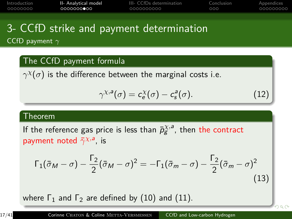| Introduction | II- Analytical model | III- CCfDs determination | Conclusion | Appendices |
|--------------|----------------------|--------------------------|------------|------------|
| _00000000    | 0000000 <b>0</b> 00  | 0000000000               | 000        | .000000000 |
|              |                      |                          |            |            |

### 3- CCfD strike and payment determination CCfD payment *γ*

#### The CCfD payment formula

 $\gamma^\chi(\sigma)$  is the difference between the marginal costs i.e.

$$
\gamma^{\chi,\mathsf{a}}(\sigma) = c_{\mathsf{e}}^{\chi}(\sigma) - c_{\mathsf{s}}^{\mathsf{a}}(\sigma). \tag{12}
$$

 $990$ 

#### Theorem

If the reference gas price is less than  $\bar{p}_{g}^{\chi,a}$ , then the contract payment noted  $\bar{\gamma}^{\chi,a}$ , is

$$
\Gamma_1(\bar{\sigma}_M - \sigma) - \frac{\Gamma_2}{2}(\bar{\sigma}_M - \sigma)^2 = -\Gamma_1(\bar{\sigma}_m - \sigma) - \frac{\Gamma_2}{2}(\bar{\sigma}_m - \sigma)^2
$$
\n(13)

where  $\Gamma_1$  and  $\Gamma_2$  are defined by [\(10\)](#page-15-1) and [\(11\)](#page-15-2).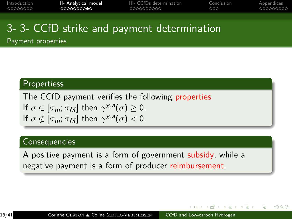| Introduction | II- Analytical model | III- CCfDs determination | Conclusion | Appendices |
|--------------|----------------------|--------------------------|------------|------------|
| 00000000     | ∩∩∩∩∩∩∩∩●∩           | 0000000000               | റററ        | 000000000  |
|              |                      |                          |            |            |

# 3- 3- CCfD strike and payment determination

Payment properties

#### **Propertiess**

The CCfD payment verifies the following properties If  $\sigma \in [\bar{\sigma}_m; \bar{\sigma}_M]$  then  $\gamma^{\chi,a}(\sigma) \geq 0$ . If  $\sigma \notin [\bar{\sigma}_m; \bar{\sigma}_M]$  then  $\gamma^{\chi, a}(\sigma) < 0$ .

#### Consequencies

A positive payment is a form of government subsidy, while a negative payment is a form of producer reimbursement.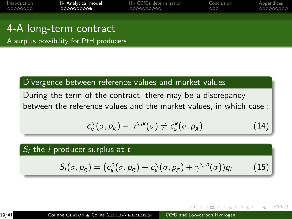| Introduction | II- Analytical model | III- CCfDs determination | Conclusion | Appendices |
|--------------|----------------------|--------------------------|------------|------------|
| 00000000     | 0000000000           | 0000000000               | റററ        | 000000000  |
|              |                      |                          |            |            |

# 4-A long-term contract

A surplus possibility for PtH producers

### Divergence between reference values and market values

During the term of the contract, there may be a discrepancy between the reference values and the market values, in which case :

$$
c_e^{\chi}(\sigma, p_g) - \gamma^{\chi, a}(\sigma) \neq c_s^a(\sigma, p_g). \tag{14}
$$

#### $S_i$  the *i* producer surplus at  $t$

$$
S_i(\sigma, p_g) = (c_s^a(\sigma, p_g) - c_e^{\chi}(\sigma, p_g) + \gamma^{\chi, a}(\sigma))q_i \qquad (15)
$$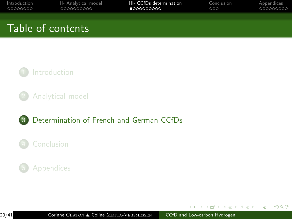<span id="page-19-0"></span>

| Introduction | II- Analytical model | III- CCfDs determination | Conclusion | Appendices |
|--------------|----------------------|--------------------------|------------|------------|
| 00000000     | 0000000000           | 0000000000               | 000        | 000000000  |
|              | Table of contents    |                          |            |            |



2 [Analytical model](#page-9-0)

### 3 [Determination of French and German CCfDs](#page-19-0)

### **[Conclusion](#page-29-0)**

### **[Appendices](#page-32-0)**

 $\mathcal{A} \oplus \mathcal{B}$  ) and  $\mathcal{B} \oplus \mathcal{B}$  and  $\mathcal{B} \oplus \mathcal{B}$ 

 $\leftarrow$   $\Box$   $\rightarrow$ 

 $2990$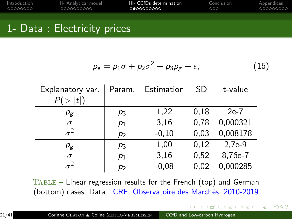| Introduction | II- Analytical model | III- CCfDs determination | Conclusion | Appendices |
|--------------|----------------------|--------------------------|------------|------------|
| _00000000    | 0000000000           | 0000000000               | 000        | 000000000  |
|              |                      |                          |            |            |

### 1- Data : Electricity prices

$$
p_e = p_1 \sigma + p_2 \sigma^2 + p_3 p_g + \epsilon, \qquad (16)
$$

イ母 トマミトマミト

 $2990$ 

| Explanatory var. |       | Param.   Estimation   SD |      | t-value  |
|------------------|-------|--------------------------|------|----------|
| P(> t )          |       |                          |      |          |
| $p_{g}$          | $p_3$ | 1,22                     | 0,18 | $2e-7$   |
| $\sigma$         | $p_1$ | 3,16                     | 0,78 | 0,000321 |
| $\sigma^2$       | $p_2$ | $-0,10$                  | 0,03 | 0,008178 |
| $\rho_{\rm g}$   | $p_3$ | 1,00                     | 0,12 | $2,7e-9$ |
| $\sigma$         | $p_1$ | 3,16                     | 0,52 | 8,76e-7  |
|                  | $p_2$ | $-0,08$                  | 0,02 | 0,000285 |

Table – Linear regression results for the French (top) and German (bottom) cases. Data : CRE, Observatoire des Marchés, 2010-2019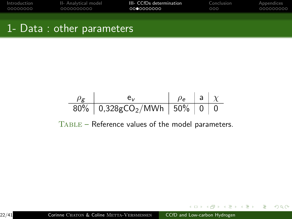| Introduction | II- Analytical model | III- CCfDs determination | Conclusion | Appendices |
|--------------|----------------------|--------------------------|------------|------------|
| 00000000     | 0000000000           | 0000000000               | റററ        | 000000000  |
|              |                      |                          |            |            |

# 1- Data : other parameters

*ρ*<sup>g</sup> e<sup>v</sup> *ρ*<sup>e</sup> a *χ* 80% 0,328gCO2/MWh 50% 0 0

Table – Reference values of the model parameters.

 $2990$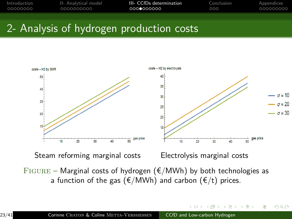| Introduction | II- Analytical model | III- CCfDs determination | Conclusion | Appendices |
|--------------|----------------------|--------------------------|------------|------------|
| 00000000     | 0000000000           | 0000000000               | റററ        | 000000000  |
|              |                      |                          |            |            |



 $290$ 

FIGURE – Marginal costs of hydrogen ( $E/MWh$ ) by both technologies as a function of the gas ( $E/MWh$ ) and carbon ( $E/t$ ) prices.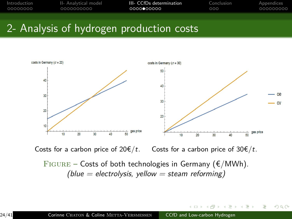| Introduction | II- Analytical model | III- CCfDs determination | Conclusion | Appendices |
|--------------|----------------------|--------------------------|------------|------------|
| _00000000    | 0000000000           | 00000000000              | റററ        | 000000000  |
|              |                      |                          |            |            |



Costs for a carbon price of  $20 \in /t$ . Costs for a carbon price of  $30 \in /t$ .

FIGURE – Costs of both technologies in Germany ( $\epsilon/MWh$ ).  $(blue = electrolysis, yellow = steam reforming)$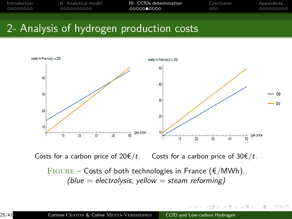| Introduction | II- Analytical model | III- CCfDs determination | Conclusion | Appendices |
|--------------|----------------------|--------------------------|------------|------------|
| 00000000     | 0000000000           | 0000000000               | റററ        | 000000000  |
|              |                      |                          |            |            |



Costs for a carbon price of  $20 \notin /t$ . Costs for a carbon price of  $30 \notin /t$ .

FIGURE – Costs of both technologies in France ( $\epsilon/MWh$ ). (blue = electrolysis, yellow = steam reforming)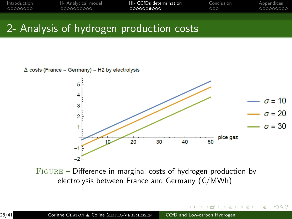| Introduction | II- Analytical model | III- CCfDs determination | Conclusion | Appendices |
|--------------|----------------------|--------------------------|------------|------------|
| - 00000000   | 0000000000           | 0000000000               | റററ        | 000000000  |
|              |                      |                          |            |            |





 $299$ 

FIGURE – Difference in marginal costs of hydrogen production by electrolysis between France and Germany ( $E/MWh$ ).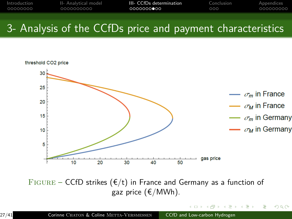| Introduction | II- Analytical model | III- CCfDs determination | Conclusion | Appendices |
|--------------|----------------------|--------------------------|------------|------------|
| _00000000    | 0000000000           | 0000000000               | റററ        | 000000000  |
|              |                      |                          |            |            |

# 3- Analysis of the CCfDs price and payment characteristics



FIGURE – CCfD strikes ( $E/t$ ) in France and Germany as a function of gaz price (€/MWh).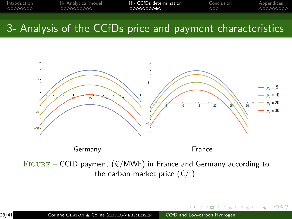| Introduction | II- Analytical model | III- CCfDs determination | Conclusion | Appendices |
|--------------|----------------------|--------------------------|------------|------------|
| _00000000    | 0000000000           | 0000000000               | റററ        | 000000000  |
|              |                      |                          |            |            |

# 3- Analysis of the CCfDs price and payment characteristics



 $FIGURE - CCFD$  payment ( $E/MWh$ ) in France and Germany according to the carbon market price  $(\epsilon/t)$ .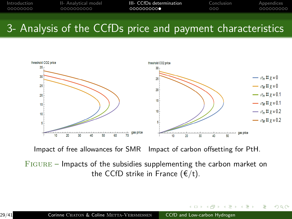| Introduction | II- Analytical model | III- CCfDs determination | Conclusion | Appendices |
|--------------|----------------------|--------------------------|------------|------------|
| _00000000    | 0000000000           | 0000000000               | റററ        | 000000000  |
|              |                      |                          |            |            |

# 3- Analysis of the CCfDs price and payment characteristics



Impact of free allowances for SMR Impact of carbon offsetting for PtH.

Figure – Impacts of the subsidies supplementing the carbon market on the CCfD strike in France  $(\epsilon/t)$ .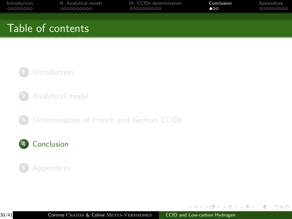<span id="page-29-0"></span>

| Introduction<br>00000000 | II- Analytical model<br>0000000000 | III- CCfDs determination<br>0000000000 | Conclusion<br>$\bullet$ | Appendices<br>000000000 |
|--------------------------|------------------------------------|----------------------------------------|-------------------------|-------------------------|
|                          | Table of contents                  |                                        |                         |                         |
|                          |                                    |                                        |                         |                         |

### **[Introduction](#page-1-0)**

2 [Analytical model](#page-9-0)

3 [Determination of French and German CCfDs](#page-19-0)

### 4 [Conclusion](#page-29-0)

### **[Appendices](#page-32-0)**

4 17 18

 $\sim$  $\leftarrow$   $\equiv$  $\sim$ 化重压  $QQ$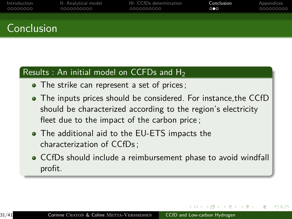| Introduction | II- Analytical model | III- CCfDs determination | Conclusion | Appendices |
|--------------|----------------------|--------------------------|------------|------------|
| - 00000000   | 0000000000           | 0000000000               | ൈ          | 000000000  |
|              |                      |                          |            |            |
|              |                      |                          |            |            |

# Conclusion

### Results : An initial model on CCFDs and  $H_2$

- The strike can represent a set of prices ;
- The inputs prices should be considered. For instance,the CCfD should be characterized according to the region's electricity fleet due to the impact of the carbon price ;
- The additional aid to the EU-ETS impacts the characterization of CCfDs ;
- CCfDs should include a reimbursement phase to avoid windfall profit.

 $\Omega$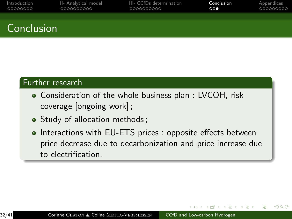| Introduction | II- Analytical model | III- CCfDs determination | Conclusion | Appendices |
|--------------|----------------------|--------------------------|------------|------------|
| 00000000     | LOOOOOOOOOO          | 0000000000               | 000        | 000000000  |
|              |                      |                          |            |            |

# **Conclusion**

#### Further research

- Consideration of the whole business plan : LVCOH, risk coverage [ongoing work] ;
- Study of allocation methods;
- Interactions with EU-ETS prices : opposite effects between price decrease due to decarbonization and price increase due to electrification.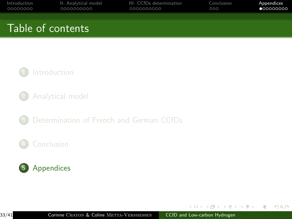<span id="page-32-0"></span>

| Introduction<br>00000000 | II- Analytical model<br>0000000000 | III- CCfDs determination<br>0000000000 | Conclusion<br>000 | Appendices<br>•000000000 |
|--------------------------|------------------------------------|----------------------------------------|-------------------|--------------------------|
|                          | Table of contents                  |                                        |                   |                          |
|                          |                                    |                                        |                   |                          |

### **[Introduction](#page-1-0)**

- 2 [Analytical model](#page-9-0)
- 3 [Determination of French and German CCfDs](#page-19-0)

### **[Conclusion](#page-29-0)**



4 17 18

 $\sim$  $\leftarrow$   $\equiv$  $\sim$ 化重压  $QQ$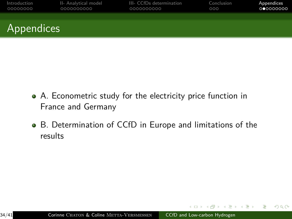| Introduction | II- Analytical model | III- CCfDs determination | Conclusion | Appendices |
|--------------|----------------------|--------------------------|------------|------------|
| 00000000     | 0000000000           | 0000000000               | 000        | 000000000  |
| Appendices   |                      |                          |            |            |

- A. Econometric study for the electricity price function in France and Germany
- B. Determination of CCfD in Europe and limitations of the results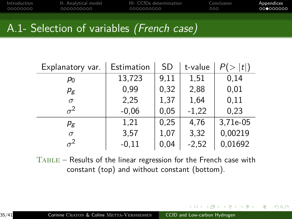| Introduction | II- Analytical model | III- CCfDs determination | Conclusion | Appendices |
|--------------|----------------------|--------------------------|------------|------------|
| _00000000    | 0000000000           | 0000000000               | റററ        | 000000000  |
|              |                      |                          |            |            |

# A.1- Selection of variables (French case)

| Explanatory var. | Estimation | <b>SD</b> | t-value | t        |
|------------------|------------|-----------|---------|----------|
| P0               | 13,723     | 9,11      | 1,51    | 0,14     |
| $\rho_{\rm g}$   | 0,99       | 0,32      | 2,88    | 0,01     |
| $\sigma$         | 2,25       | 1,37      | 1,64    | 0,11     |
| $\sigma^2$       | $-0,06$    | 0,05      | $-1,22$ | 0,23     |
| $p_{g}$          | 1,21       | 0,25      | 4,76    | 3,71e-05 |
| $\sigma$         | 3,57       | 1,07      | 3,32    | 0,00219  |
| $\sigma^2$       | $-0,11$    | 0,04      | $-2,52$ | 0,01692  |

Table – Results of the linear regression for the French case with constant (top) and without constant (bottom).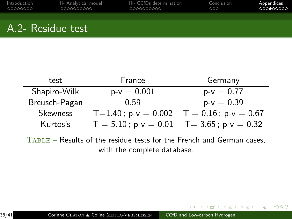| Introduction | II- Analytical model | III- CCfDs determination | Conclusion | Appendices |
|--------------|----------------------|--------------------------|------------|------------|
| 00000000     | 0000000000           | 0000000000               | 000        | 000000000  |
|              |                      |                          |            |            |

## A.2- Residue test

| test            | France                                        | Germany                 |
|-----------------|-----------------------------------------------|-------------------------|
| Shapiro-Wilk    | $p-v = 0.001$                                 | $p-v = 0.77$            |
| Breusch-Pagan   | 0.59                                          | $p-v = 0.39$            |
| <b>Skewness</b> | $T=1.40$ ; p-v = 0.002                        | $T = 0.16$ ; p-v = 0.67 |
| Kurtosis        | $T = 5.10$ ; p-v = 0.01   T= 3.65; p-v = 0.32 |                         |

Table – Results of the residue tests for the French and German cases, with the complete database.

伊 ▶ イヨ ▶

 $299$ 

э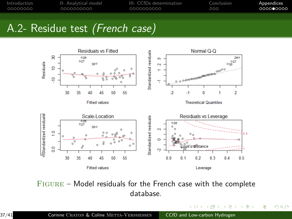| Introduction | II- Analytical model | III- CCfDs determination | Conclusion | Appendices |
|--------------|----------------------|--------------------------|------------|------------|
| - 00000000   | 0000000000           | 0000000000               | റററ        | 0000000000 |
|              |                      |                          |            |            |

# A.2- Residue test (French case)



Figure – Model residuals for the French case with the complete database.

 $\overline{a}$ 

 $QQ$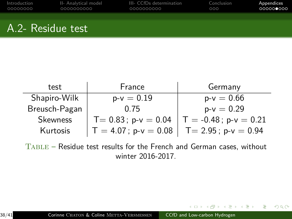| Introduction | II- Analytical model | III- CCfDs determination | Conclusion | Appendices |
|--------------|----------------------|--------------------------|------------|------------|
| _00000000    | 0000000000           | 0000000000               | 000        | 000000000  |
|              |                      |                          |            |            |

# A.2- Residue test

| test          | France                  | Germany                  |
|---------------|-------------------------|--------------------------|
| Shapiro-Wilk  | $p-v = 0.19$            | $p-v = 0.66$             |
| Breusch-Pagan | 0.75                    | $p-v = 0.29$             |
| Skewness      | $T = 0.83$ ; p-v = 0.04 | $T = -0.48$ ; p-v = 0.21 |
| Kurtosis      | $T = 4.07$ ; p-v = 0.08 | $T = 2.95$ ; p-v = 0.94  |

Table – Residue test results for the French and German cases, without winter 2016-2017.

何 ▶ イヨ ▶ イヨ ▶

4. 17. 18.

 $QQ$ 

э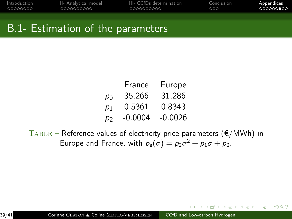| Introduction | II- Analytical model | III- CCfDs determination | Conclusion | Appendices         |
|--------------|----------------------|--------------------------|------------|--------------------|
| _00000000    | 0000000000           | 0000000000               | റററ        | ∩QQQQQ <b>⊜</b> QQ |
|              |                      |                          |            |                    |

## B.1- Estimation of the parameters

|    | France    | Europe    |
|----|-----------|-----------|
| P٥ | 35.266    | 31.286    |
| p1 | 0.5361    | 0.8343    |
| рŋ | $-0.0004$ | $-0.0026$ |

 $TABLE - Reference values of electricity price parameters ( $\epsilon/MWh$ ) in$ Europe and France, with  $p_e(\sigma) = p_2\sigma^2 + p_1\sigma + p_0$ .

 $299$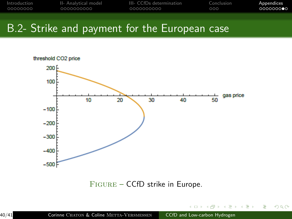| Introduction | II- Analytical model | III- CCfDs determination | Conclusion | Appendices |
|--------------|----------------------|--------------------------|------------|------------|
| _00000000    | 0000000000           | 0000000000               | റററ        | 000000000  |
|              |                      |                          |            |            |

# B.2- Strike and payment for the European case



Figure – CCfD strike in Europe.

 $QQ$